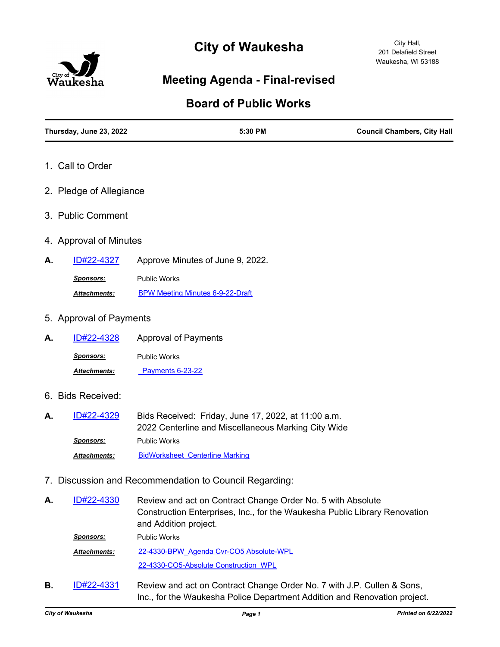# **City of Waukesha**



## **Meeting Agenda - Final-revised**

## **Board of Public Works**

| Thursday, June 23, 2022 | 5:30 PM                                                                                                                                                            | <b>Council Chambers, City Hall</b> |
|-------------------------|--------------------------------------------------------------------------------------------------------------------------------------------------------------------|------------------------------------|
| 1. Call to Order        |                                                                                                                                                                    |                                    |
| 2. Pledge of Allegiance |                                                                                                                                                                    |                                    |
| 3. Public Comment       |                                                                                                                                                                    |                                    |
| 4. Approval of Minutes  |                                                                                                                                                                    |                                    |
| ID#22-4327<br>А.        | Approve Minutes of June 9, 2022.                                                                                                                                   |                                    |
| Sponsors:               | <b>Public Works</b>                                                                                                                                                |                                    |
| <b>Attachments:</b>     | <b>BPW Meeting Minutes 6-9-22-Draft</b>                                                                                                                            |                                    |
| 5. Approval of Payments |                                                                                                                                                                    |                                    |
| ID#22-4328<br>А.        | <b>Approval of Payments</b>                                                                                                                                        |                                    |
| <b>Sponsors:</b>        | <b>Public Works</b>                                                                                                                                                |                                    |
| Attachments:            | Payments 6-23-22                                                                                                                                                   |                                    |
| 6. Bids Received:       |                                                                                                                                                                    |                                    |
| ID#22-4329<br>А.        | Bids Received: Friday, June 17, 2022, at 11:00 a.m.<br>2022 Centerline and Miscellaneous Marking City Wide                                                         |                                    |
| <u>Sponsors:</u>        | <b>Public Works</b>                                                                                                                                                |                                    |
| Attachments:            | <b>BidWorksheet Centerline Marking</b>                                                                                                                             |                                    |
|                         | 7. Discussion and Recommendation to Council Regarding:                                                                                                             |                                    |
| ID#22-4330<br>А.        | Review and act on Contract Change Order No. 5 with Absolute<br>Construction Enterprises, Inc., for the Waukesha Public Library Renovation<br>and Addition project. |                                    |

*Sponsors:* Public Works

[22-4330-BPW\\_Agenda Cvr-CO5 Absolute-WPL](http://waukesha.legistar.com/gateway.aspx?M=F&ID=d8bb5ad7-0431-4dfb-8d0c-6110ab3800a6.pdf) [22-4330-CO5-Absolute Construction\\_WPL](http://waukesha.legistar.com/gateway.aspx?M=F&ID=118975ed-9b71-4543-899f-caf9a9f2082a.pdf) *Attachments:*

Review and act on Contract Change Order No. 7 with J.P. Cullen & Sons, Inc., for the Waukesha Police Department Addition and Renovation project. **B.** [ID#22-4331](http://waukesha.legistar.com/gateway.aspx?m=l&id=/matter.aspx?key=17214)